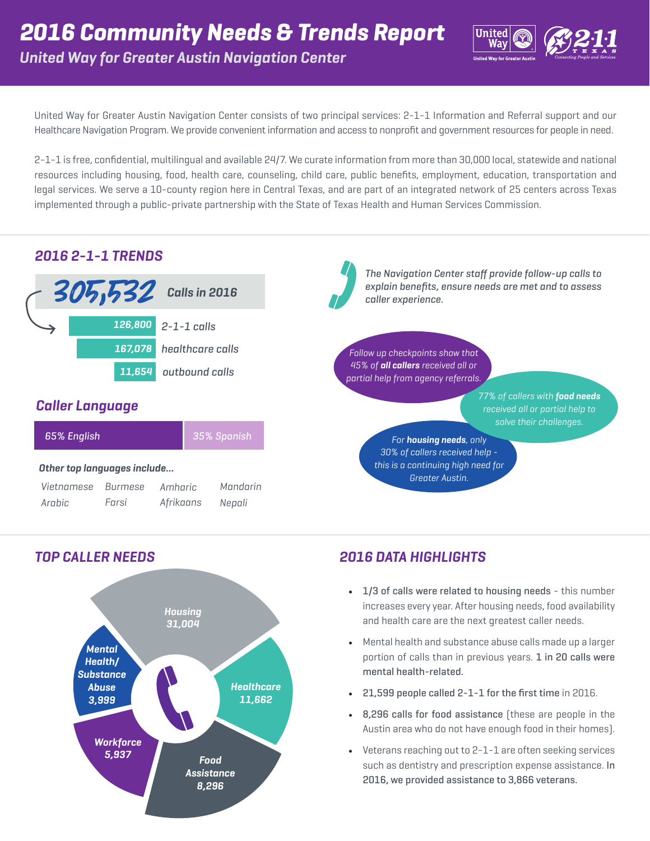

United Way for Greater Austin Navigation Center consists of two principal services: 2-1-1 Information and Referral support and our Healthcare Navigation Program. We provide convenient information and access to nonprofit and government resources for people in need.

2-1-1 is free, confidential, multilingual and available 24/7. We curate information from more than 30,000 local, statewide and national resources including housing, food, health care, counseling, child care, public benefits, employment, education, transportation and legal services. We serve a 10-county region here in Central Texas, and are part of an integrated network of 25 centers across Texas implemented through a public-private partnership with the State of Texas Health and Human Services Commission.





# *TOP CALLER NEEDS 2016 DATA HIGHLIGHTS*

- 1/3 of calls were related to housing needs this number increases every year. After housing needs, food availability and health care are the next greatest caller needs.
- Mental health and substance abuse calls made up a larger portion of calls than in previous years. 1 in 20 calls were mental health-related.
- 21,599 people called 2-1-1 for the first time in 2016.
- 8,296 calls for food assistance (these are people in the Austin area who do not have enough food in their homes).
- Veterans reaching out to 2-1-1 are often seeking services such as dentistry and prescription expense assistance. In 2016, we provided assistance to 3,866 veterans.